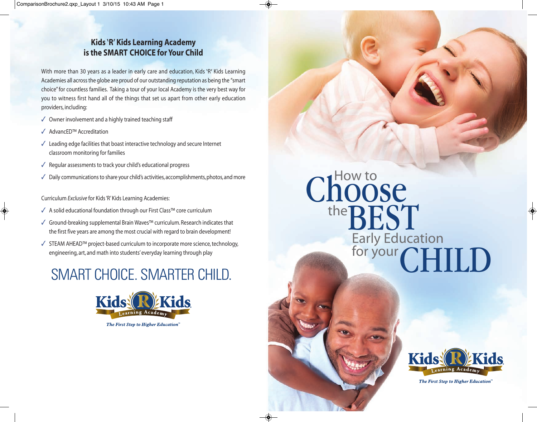#### **Kids** '**R**' **Kids Learning Academy is the SMART CHOICE for Your Child**

With more than 30 years as a leader in early care and education, Kids 'R' Kids Learning Academies all across the globe are proud of our outstanding reputation as being the "smart choice" for countless families. Taking a tour of your local Academy is the very best way for you to witness first hand all of the things that set us apart from other early education providers, including:

- $\sqrt{ }$  Owner involvement and a highly trained teaching staff
- 3 AdvancED™ Accreditation
- $\checkmark$  Leading edge facilities that boast interactive technology and secure Internet classroom monitoring for families
- $\sqrt{\ }$  Regular assessments to track your child's educational progress
- $\sqrt{ }$  Daily communications to share your child's activities, accomplishments, photos, and more

Curriculum *Exclusive* for Kids 'R' Kids Learning Academies:

- √ A solid educational foundation through our First Class™ core curriculum
- 3 Ground-breaking supplemental Brain Waves™ curriculum. Research indicates that the first five years are among the most crucial with regard to brain development!
- $\checkmark$  STEAM AHEAD<sup>™</sup> project-based curriculum to incorporate more science, technology, engineering, art, and math into students' everyday learning through play

### SMART CHOICE. SMARTER CHILD.



# Choose the **BEST** CHILD Early Education for your



The First Step to Higher Education"